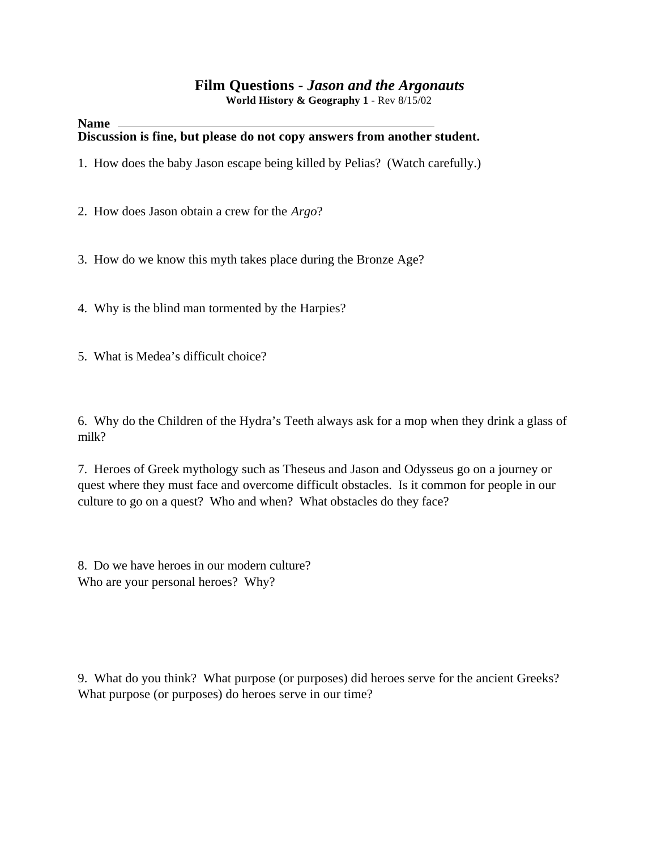#### **Film Questions -** *Jason and the Argonauts*  **World History & Geography 1** - Rev 8/15/02

#### **Name Discussion is fine, but please do not copy answers from another student.**

- 1. How does the baby Jason escape being killed by Pelias? (Watch carefully.)
- 2. How does Jason obtain a crew for the *Argo*?
- 3. How do we know this myth takes place during the Bronze Age?
- 4. Why is the blind man tormented by the Harpies?
- 5. What is Medea's difficult choice?

6. Why do the Children of the Hydra's Teeth always ask for a mop when they drink a glass of milk?

7. Heroes of Greek mythology such as Theseus and Jason and Odysseus go on a journey or quest where they must face and overcome difficult obstacles. Is it common for people in our culture to go on a quest? Who and when? What obstacles do they face?

8. Do we have heroes in our modern culture? Who are your personal heroes? Why?

9. What do you think? What purpose (or purposes) did heroes serve for the ancient Greeks? What purpose (or purposes) do heroes serve in our time?